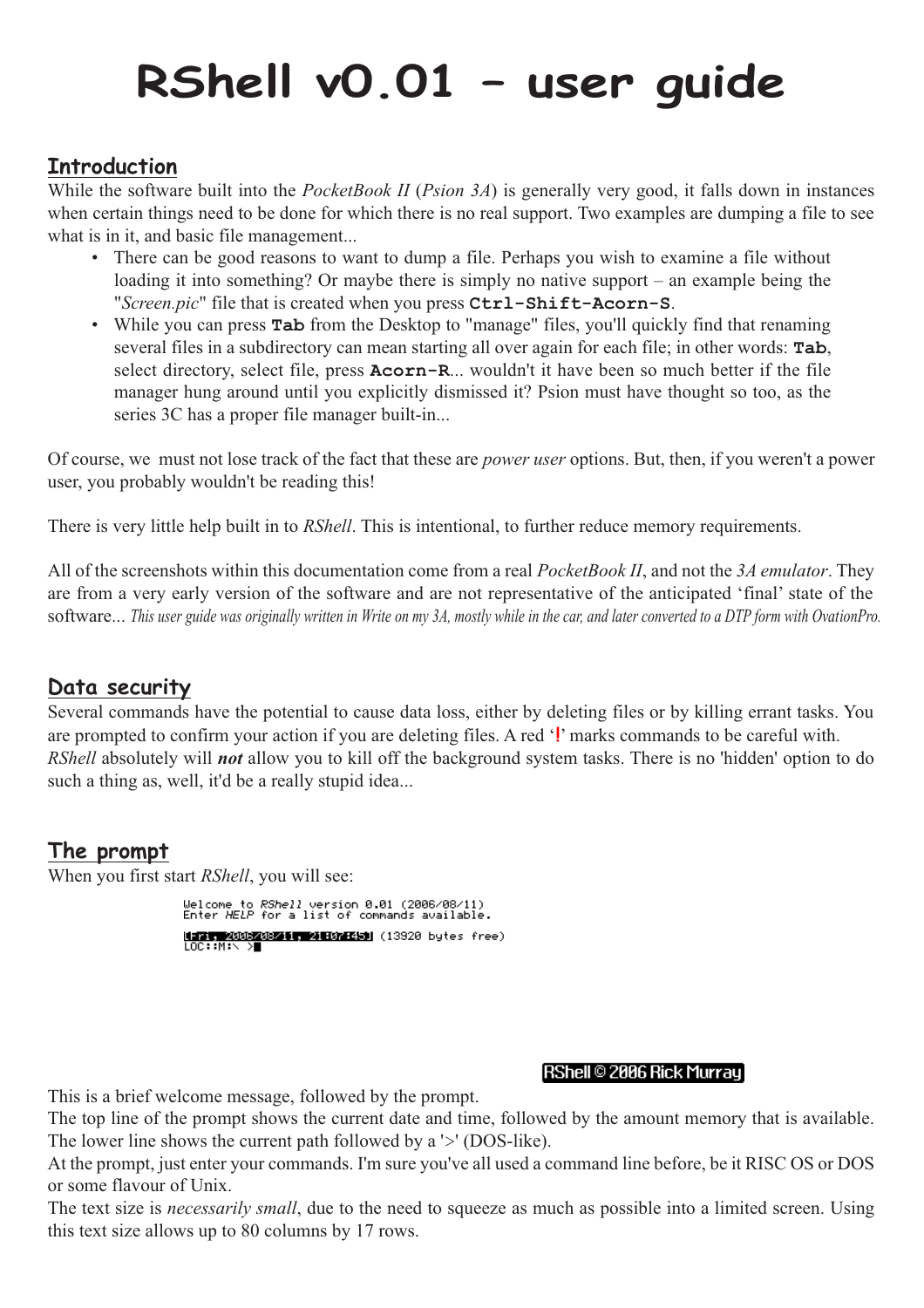# **RShell v0.01 – user guide**

## **Introduction**

While the software built into the *PocketBook II* (*Psion 3A*) is generally very good, it falls down in instances when certain things need to be done for which there is no real support. Two examples are dumping a file to see what is in it, and basic file management...

- There can be good reasons to want to dump a file. Perhaps you wish to examine a file without loading it into something? Or maybe there is simply no native support – an example being the "*Screen.pic*" file that is created when you press **Ctrl-Shift-Acorn-S**.
- While you can press **Tab** from the Desktop to "manage" files, you'll quickly find that renaming several files in a subdirectory can mean starting all over again for each file; in other words: **Tab**, select directory, select file, press **Acorn-R**... wouldn't it have been so much better if the file manager hung around until you explicitly dismissed it? Psion must have thought so too, as the series 3C has a proper file manager built-in...

Of course, we must not lose track of the fact that these are *power user* options. But, then, if you weren't a power user, you probably wouldn't be reading this!

There is very little help built in to *RShell*. This is intentional, to further reduce memory requirements.

All of the screenshots within this documentation come from a real *PocketBook II*, and not the *3A emulator*. They are from a very early version of the software and are not representative of the anticipated 'final' state of the software... *This user guide was originally written in Write on my 3A, mostly while in the car, and later converted to a DTP form with OvationPro.*

## **Data security**

Several commands have the potential to cause data loss, either by deleting files or by killing errant tasks. You are prompted to confirm your action if you are deleting files. A red '**!**' marks commands to be careful with. *RShell* absolutely will *not* allow you to kill off the background system tasks. There is no 'hidden' option to do such a thing as, well, it'd be a really stupid idea...

## **The prompt**

When you first start *RShell*, you will see:

Welcome to *RShell* version 0.01 (2006/08/11)<br>Enter HELP for a list of commands available. **비교 - 2005/08/11, 21:07:451** (13920 bytes free)<br>LOC::M:\ >

#### RShell © 2006 Rick Murray

This is a brief welcome message, followed by the prompt.

The top line of the prompt shows the current date and time, followed by the amount memory that is available. The lower line shows the current path followed by a '>' (DOS-like).

At the prompt, just enter your commands. I'm sure you've all used a command line before, be it RISC OS or DOS or some flavour of Unix.

The text size is *necessarily small*, due to the need to squeeze as much as possible into a limited screen. Using this text size allows up to 80 columns by 17 rows.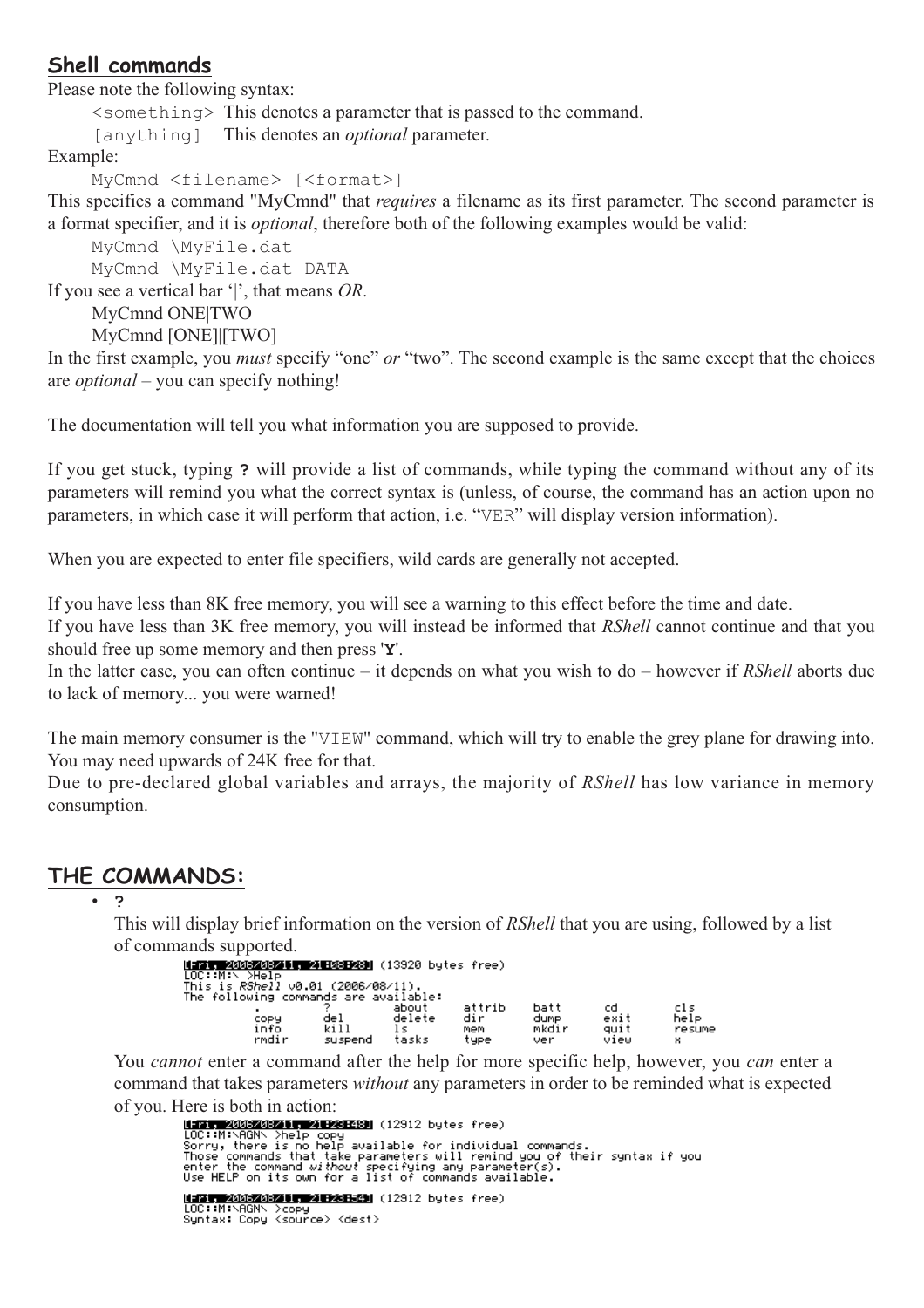## **Shell commands**

Please note the following syntax:

<something> This denotes a parameter that is passed to the command.

[anything] This denotes an *optional* parameter.

Example:

MyCmnd <filename> [<format>]

This specifies a command "MyCmnd" that *requires* a filename as its first parameter. The second parameter is a format specifier, and it is *optional*, therefore both of the following examples would be valid:

MyCmnd \MyFile.dat

MyCmnd \MyFile.dat DATA

If you see a vertical bar '|', that means *OR*.

MyCmnd ONE|TWO

MyCmnd [ONE]|[TWO]

In the first example, you *must* specify "one" *or* "two". The second example is the same except that the choices are *optional* – you can specify nothing!

The documentation will tell you what information you are supposed to provide.

If you get stuck, typing **?** will provide a list of commands, while typing the command without any of its parameters will remind you what the correct syntax is (unless, of course, the command has an action upon no parameters, in which case it will perform that action, i.e. "VER" will display version information).

When you are expected to enter file specifiers, wild cards are generally not accepted.

If you have less than 8K free memory, you will see a warning to this effect before the time and date.

If you have less than 3K free memory, you will instead be informed that *RShell* cannot continue and that you should free up some memory and then press '**Y**'.

In the latter case, you can often continue – it depends on what you wish to do – however if *RShell* aborts due to lack of memory... you were warned!

The main memory consumer is the "VIEW" command, which will try to enable the grey plane for drawing into. You may need upwards of 24K free for that.

Due to pre-declared global variables and arrays, the majority of *RShell* has low variance in memory consumption.

### **THE COMMANDS:**

• **?**

This will display brief information on the version of *RShell* that you are using, followed by a list of commands supported.

|                                                                             |                        | <b>NET 40032032010 4 H03H28</b> (13920 bytes free) |                              |                              |                            |                            |
|-----------------------------------------------------------------------------|------------------------|----------------------------------------------------|------------------------------|------------------------------|----------------------------|----------------------------|
| This is RShell v0.01 (2006/08/11).<br>The following commands are available: |                        |                                                    |                              |                              |                            |                            |
| $\blacksquare$<br>copy<br>info<br>rmdir                                     | del<br>kill<br>suspend | about<br>delete<br>tasks                           | attrib<br>dir<br>mem<br>type | batt<br>dump<br>mkdir<br>ver | cd<br>exit<br>quit<br>view | cls<br>help<br>resume<br>× |

You *cannot* enter a command after the help for more specific help, however, you *can* enter a command that takes parameters *without* any parameters in order to be reminded what is expected

of you. Here is both in action:The Manuscript (1997)<br>|<mark>171, 2003/03/1, 211231-21</mark>| (12912 bytes free)<br>|100::MixAGN\ }copy LOC::M:\AGN\ >copy<br>Syntax: Copy <source> <dest>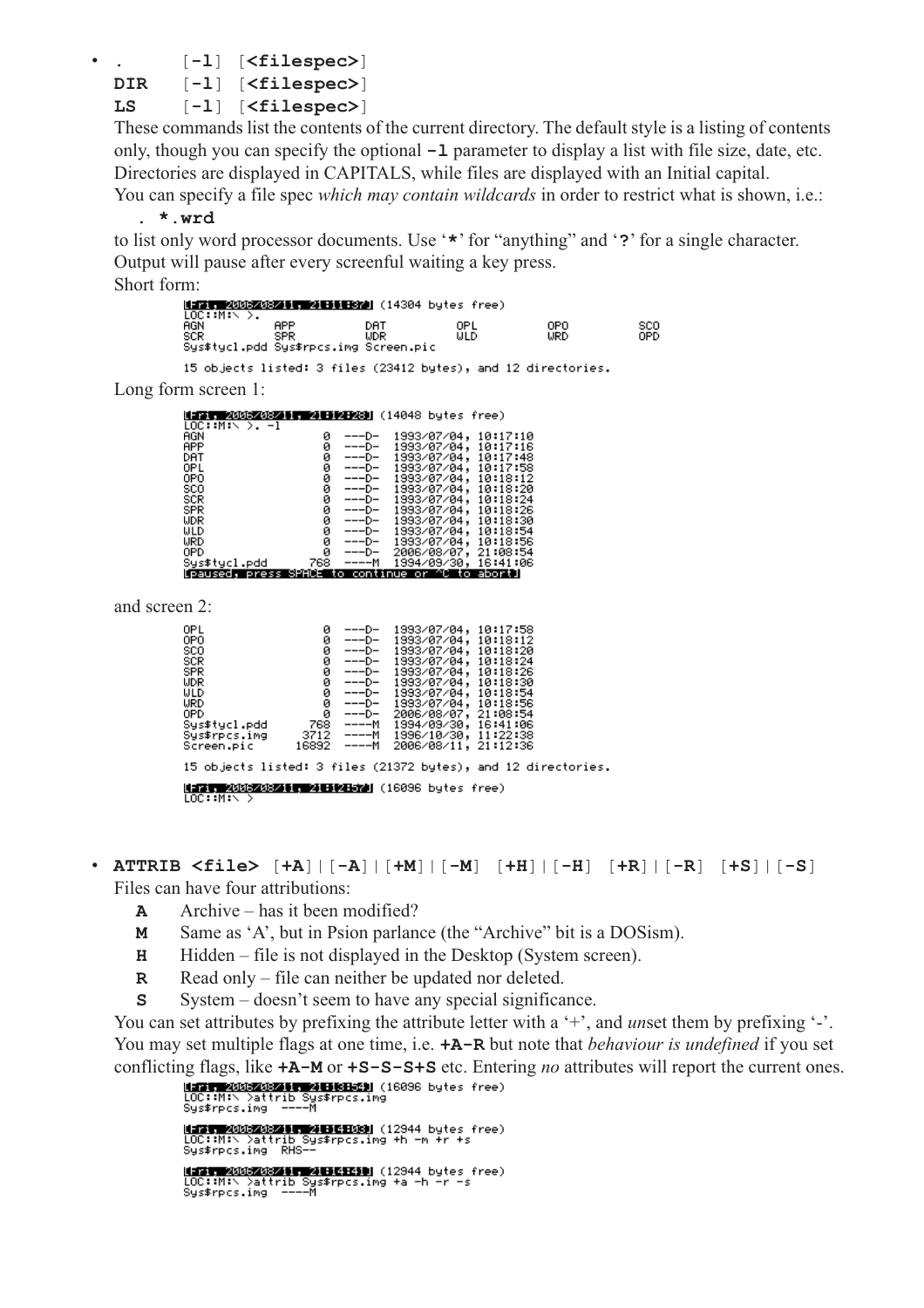• **.** [**-l**] [**<filespec>**]

**DIR** [**-l**] [**<filespec>**]

**LS** [**-l**] [**<filespec>**]

These commands list the contents of the current directory. The default style is a listing of contents only, though you can specify the optional **-l** parameter to display a list with file size, date, etc. Directories are displayed in CAPITALS, while files are displayed with an Initial capital.

You can specify a file spec *which may contain wildcards* in order to restrict what is shown, i.e.: **. \*.wrd**

to list only word processor documents. Use '**\***' for "anything" and '**?**' for a single character. Output will pause after every screenful waiting a key press. Short form:

M-FI 20032031, 4H-1522 (14304 bytes free)<br>LOC::M:\ >. AGN<br>SCR **APP** DAT OPO<br>URD SCO<br>OPD OPL<br>WLD ŬĎŔ Sys\$tycl.pdd Sys\$rpcs.img Screen.pic

15 objects listed: 3 files (23412 bytes), and 12 directories.

Long form screen 1:

| 日本   2006208211   21日12日28]  (14048 bytes free) |     |       |                             |          |
|-------------------------------------------------|-----|-------|-----------------------------|----------|
| $LOC:IM: \diagdown \qquad \diagdown$ $-1$       |     |       |                             |          |
| AGN                                             | ø   | ---D- | 1993/07/04,                 | 10:17:10 |
| APP                                             | ø   | ---D- | 1993/07/04,                 | 10:17:16 |
| DAT                                             | ø   | ---D- | 1993/07/04,                 | 10:17:48 |
| OPL                                             | ø   | ---D- | 1993/07/04,                 | 10:17:58 |
| 0PO.                                            | ø   | ---D- | 1993/07/04,                 | 10:18:12 |
| sco                                             | ø   | ---D- | 1993/07/04,                 | 10:18:20 |
| SCR                                             | ø   | ---D- | 1993/07/04,                 | 10:18:24 |
| SPR                                             | ø   | ---D- | 1993/07/04,                 | 10:18:26 |
| WDR                                             | ø   | ---D- | 1993/07/04,                 | 10:18:30 |
| ULD                                             | ø   | ---D- | 1993/07/04,                 | 10:18:54 |
| WRD                                             | 0   | ---D- | 1993/07/04,                 | 10:18:56 |
| 0PD                                             | ø   | ---D- | 2006/08/07,                 | 21:08:54 |
| Sys≸tycl.pdd                                    | 768 | ————м | 1994/09/30,                 | 16:41:06 |
| [paused. press SPACE ]                          |     |       | to continue or ^C to abort] |          |

and screen 2:

| OPL                                                           | ø |  | ---D- 1993/07/04, 10:17:58       |  |  |  |  |
|---------------------------------------------------------------|---|--|----------------------------------|--|--|--|--|
| 0PO                                                           | ø |  | ---D- 1993/07/04, 10:18:12       |  |  |  |  |
| SCO.                                                          | 0 |  | ---D- 1993/07/04, 10:18:20       |  |  |  |  |
| SCR.                                                          | 0 |  | ---D- 1993/07/04, 10:18:24       |  |  |  |  |
| SPR.                                                          | ø |  | ---D- 1993/07/04, 10:18:26       |  |  |  |  |
| WDR                                                           | ø |  | ---D- 1993/07/04, 10:18:30       |  |  |  |  |
| ULD.                                                          | ğ |  | ---D- 1993/07/04, 10:18:54       |  |  |  |  |
| WRD                                                           |   |  | ---D- 1993/07/04, 10:18:56       |  |  |  |  |
| OPD.                                                          | ø |  | ---D- 2006/08/07, 21:08:54       |  |  |  |  |
| Sys\$tycl.pdd                                                 |   |  | 768 ----M 1994/09/30, 16:41:06   |  |  |  |  |
|                                                               |   |  |                                  |  |  |  |  |
| Screen.pic                                                    |   |  | 16892 ----M 2006/08/11, 21:12:36 |  |  |  |  |
| 15 objects listed: 3 files (21372 bytes), and 12 directories. |   |  |                                  |  |  |  |  |
| [1:21, 2006/08/11, 21:12:37] (16096 bytes free)<br>LOC::M:\ > |   |  |                                  |  |  |  |  |

- **ATTRIB <file>** [**+A**]|[**-A**]|[**+M**]|[**-M**] [**+H**]|[**-H**] [**+R**]|[**-R**] [**+S**]|[**-S**] Files can have four attributions:
	- **A** Archive has it been modified?
	- **M** Same as 'A', but in Psion parlance (the "Archive" bit is a DOSism).
	- **H** Hidden file is not displayed in the Desktop (System screen).
	- **R** Read only file can neither be updated nor deleted.
	- **S** System doesn't seem to have any special significance.

You can set attributes by prefixing the attribute letter with a '+', and *unset* them by prefixing '-'. You may set multiple flags at one time, i.e. **+A-R** but note that *behaviour is undefined* if you set conflicting flags, like **+A-M** or **+S-S-S+S** etc. Entering *no* attributes will report the current ones.

```
LOC:: M:\ >attrib Sys$rpcs.img<br>Sys$rpcs.img ---- M
Mint MAXIXXXXIII MATICHXXN (12944 bytes free)<br>LOC::M:∖ >attrib Sys$rpcs.img +h -m +r +s<br>Sys$rpcs.img  RHS--
Sys$rpcs.img
Mini (2005/08%)1, 21BCICSU (12944 bytes free)<br>LOC::M:∖ >attrib Sys$rpcs.img +a -h -r -s<br>Sys$rpcs.img  ----M
```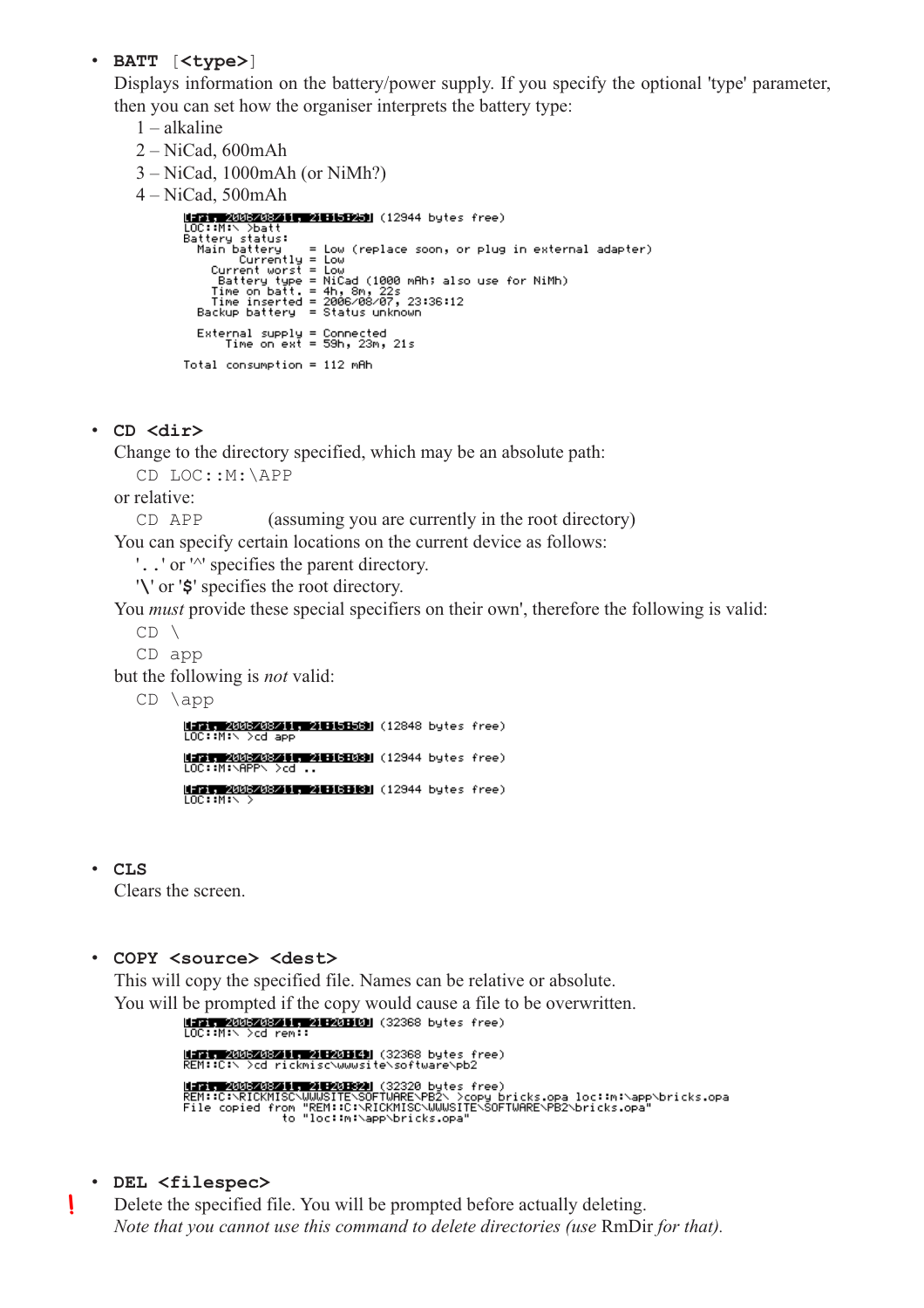#### • **BATT** [**<type>**]

Displays information on the battery/power supply. If you specify the optional 'type' parameter, then you can set how the organiser interprets the battery type:

- 1 alkaline
- 2 NiCad, 600mAh

```
3 – NiCad, 1000mAh (or NiMh?)
4 – NiCad, 500mAh
            HERT 2005/08/11 21155931 (12944 bytes free)
           EIR 2003 2008<br>
LOC::Mix Datt<br>
Battery status:<br>
Battery status:<br>
Main battery status:<br>
Main battery = Low (replace soon, or plug in external adapter)<br>
Currenttworst = Low<br>
Battery type = NiCad (1000 mAh; also use for NiMh
               External supply = Connected<br>Time on ext = 59h, 23m, 21s
            Total consumption = 112 mAh
```
• **CD <dir>**

Change to the directory specified, which may be an absolute path:

CD LOC::M:\APP

or relative:

CD APP (assuming you are currently in the root directory)

You can specify certain locations on the current device as follows:

'**..**' or '^' specifies the parent directory.

'**\**' or '**\$**' specifies the root directory.

You *must* provide these special specifiers on their own', therefore the following is valid:

 $CD \setminus$ 

CD app

but the following is *not* valid:

 $CD \ \langle app$ 

**비교를 2002/02/11, 218151531** (12848 bytes free)<br>LOC::M:\ >cd app MERIT 2003208215 200609080 (12944 bytes free)<br>LOC::M:\APP\ >cd .. 

• **CLS**

Clears the screen.

#### • **COPY <source> <dest>**

This will copy the specified file. Names can be relative or absolute.

```
You will be prompted if the copy would cause a file to be overwritten.
                  MARK 2005208251 MARKED (32368 bytes free)<br>REM::C:\ >cd rickmisc\wwwsite\software\pb2
                  MERI MODEMORIE, MIROTENI (32320 bytes free)<br>REM::C:\RICKMISC\WWWSITE\SOFTWARE\PB2\ >copy bricks.opa loc::m:\app\bricks.opa<br>File copied from "REM::C:\RICKMISC\WWWSITE\SOFTWARE\PB2\bricks.opa"<br>to "loc::m:\app\bricks.opa"
```
• **DEL <filespec>**

**!**

Delete the specified file. You will be prompted before actually deleting. *Note that you cannot use this command to delete directories (use* RmDir *for that).*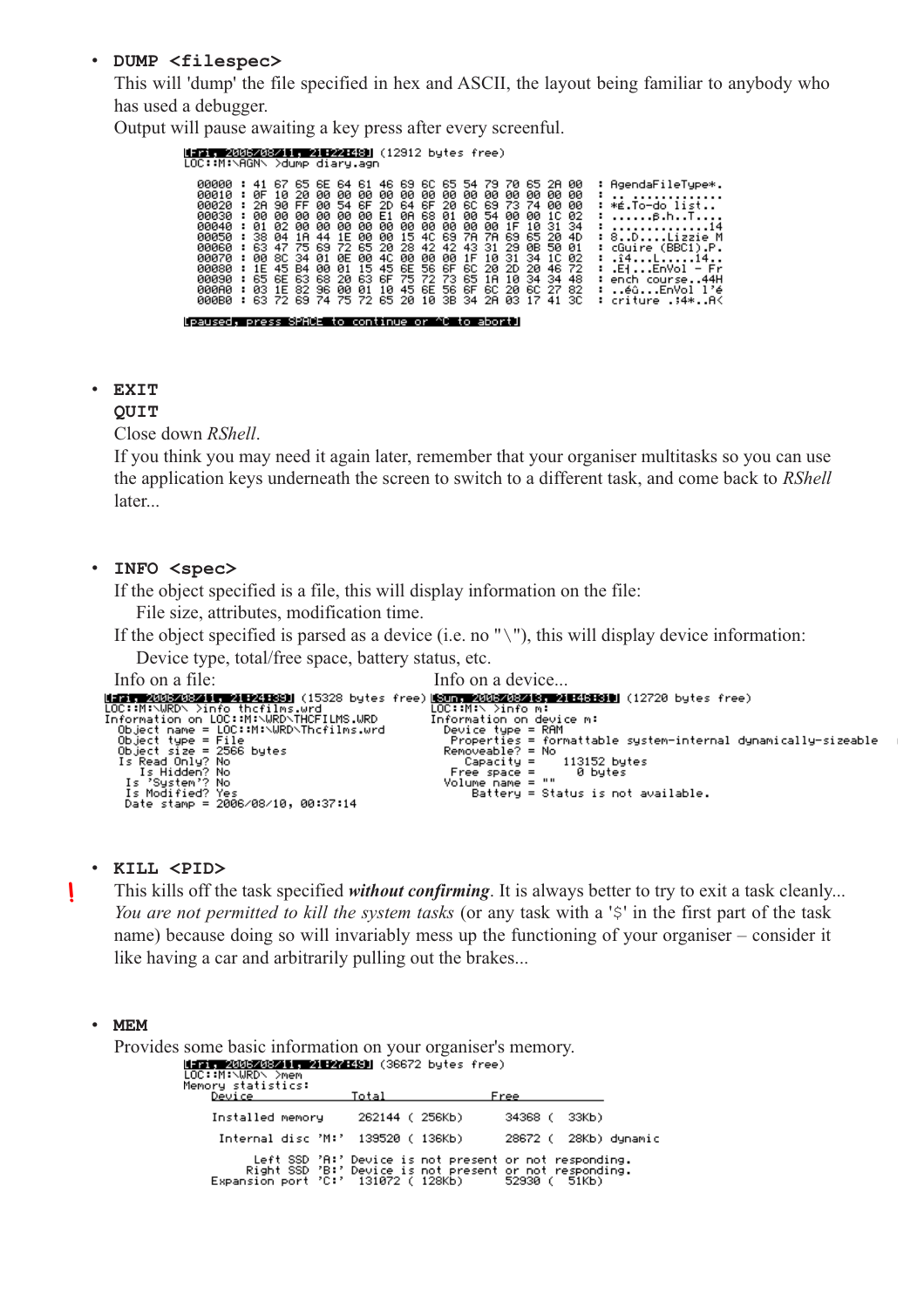#### • **DUMP <filespec>**

This will 'dump' the file specified in hex and ASCII, the layout being familiar to anybody who has used a debugger.

Output will pause awaiting a key press after every screenful.

## Mirit 2005/08/11, 218221681 (12912 bytes free)<br>LOC::M:\AGN\ >dump diary.agn

| <b>иии1и</b><br>иии 20<br><b>ияизи</b><br>ййй 10<br><b>ЙЙЙ5Й</b><br>00060<br>яяя7я<br>00080 : 1E 45 B4 00 01 15 45 6E 56 6F 6C 20 2D 20 46 72<br>00090<br><u> ААААА </u><br><b>ЙЙЙВЙ</b> | н.<br>н.<br>н.<br>н. | <b>ИF 1И</b> |  |  |  |  |  |  |  | 41 67 65 6E 64 61 46 69 6C 65 54 79 70 65 2A 00<br>20 00 00 00 00 00 00 00 00 00 00 00 00<br>: 2A 90 FF 00 54 6F 2D 64 6F 20 6C 69 73 74 00 00<br>00 00 00 00 00 00 E1 0A 68 01 00 54 00 00 1C 02<br>01 02 00 00 00 00 00 00 00 00 00 00 00 1F 10 31 34<br>: 38 04 1A 44 1E 00 00 15 4C 69 7A 7A 69 65 20 4D<br>: 63 47 75 69 72 65 20 28 42 42 43 31 29 0B 50 01<br>: 00 SC 34 01 0E 00 4C 00 00 00 1F 10 31 34 1C 02<br>: 65 6E 63 68 20 63 6F 75 72 73 65 1A 10 34 34 48<br>03 1E 82 96 00 01 10 45 6E 56 6F 6C 20 6C 27 82<br>: 63 72 69 74 75 72 65 20 10 3B 34 2A 03 17 41 3C |  |  |  |  |  |  | <b>00 00</b> |  | : AgendaFileType*.<br>.<br>: *É.To−do list<br>: 8.hT<br><u>: 14</u><br>: 8DLizzie M<br>: cGuire (BBC1).P.<br>: .i4Li4<br>: .ElEnVol – Fr<br>: ench course44H<br>: éûEnVol l'é<br>criture .;4*AK |
|------------------------------------------------------------------------------------------------------------------------------------------------------------------------------------------|----------------------|--------------|--|--|--|--|--|--|--|-------------------------------------------------------------------------------------------------------------------------------------------------------------------------------------------------------------------------------------------------------------------------------------------------------------------------------------------------------------------------------------------------------------------------------------------------------------------------------------------------------------------------------------------------------------------------------------|--|--|--|--|--|--|--------------|--|-------------------------------------------------------------------------------------------------------------------------------------------------------------------------------------------------|
|------------------------------------------------------------------------------------------------------------------------------------------------------------------------------------------|----------------------|--------------|--|--|--|--|--|--|--|-------------------------------------------------------------------------------------------------------------------------------------------------------------------------------------------------------------------------------------------------------------------------------------------------------------------------------------------------------------------------------------------------------------------------------------------------------------------------------------------------------------------------------------------------------------------------------------|--|--|--|--|--|--|--------------|--|-------------------------------------------------------------------------------------------------------------------------------------------------------------------------------------------------|

[paused, press SPACE to continue or ^C to abort]

#### • **EXIT**

#### **QUIT**

Close down *RShell*.

If you think you may need it again later, remember that your organiser multitasks so you can use the application keys underneath the screen to switch to a different task, and come back to *RShell* later...

#### • **INFO <spec>**

If the object specified is a file, this will display information on the file:

File size, attributes, modification time.

If the object specified is parsed as a device (i.e. no " $\langle$ "), this will display device information:

Device type, total/free space, battery status, etc.

```
Info on a file: Info on a device...
  Is System : No<br>Is Modified? Yes<br>Date stamp = 2006/08/10, 00:37:14
```
#### • **KILL <PID>**

This kills off the task specified *without confirming*. It is always better to try to exit a task cleanly... *You are not permitted to kill the system tasks* (or any task with a '\$' in the first part of the task name) because doing so will invariably mess up the functioning of your organiser – consider it like having a car and arbitrarily pulling out the brakes...

 $\epsilon$ 

#### • **MEM**

**!**

| Provides some basic information on your organiser's memory.                                 |                                    |                                                                                                                                                                      |                      |        |  |
|---------------------------------------------------------------------------------------------|------------------------------------|----------------------------------------------------------------------------------------------------------------------------------------------------------------------|----------------------|--------|--|
| MERIT 2006208211, 21 F27 F281 (36672 bytes free)<br>LOC::M:\WRD\ >mem<br>Memory statistics: |                                    |                                                                                                                                                                      |                      |        |  |
| Device                                                                                      | Total                              |                                                                                                                                                                      | Free                 |        |  |
| Installed memory                                                                            | 262144 (256Kb)                     |                                                                                                                                                                      | 34368 (              | 33КЬ). |  |
|                                                                                             | Internal disc 'M:' 139520 ( 136Kb) |                                                                                                                                                                      | 28672 ( 28Kb) dynami |        |  |
|                                                                                             |                                    | Left SSD 'A:' Device is not present or not responding.<br>Right SSD 'B:' Device is not present or not responding.<br>Expansion port 'C:' 131072 (128Kb) 52930 (51Kb) |                      |        |  |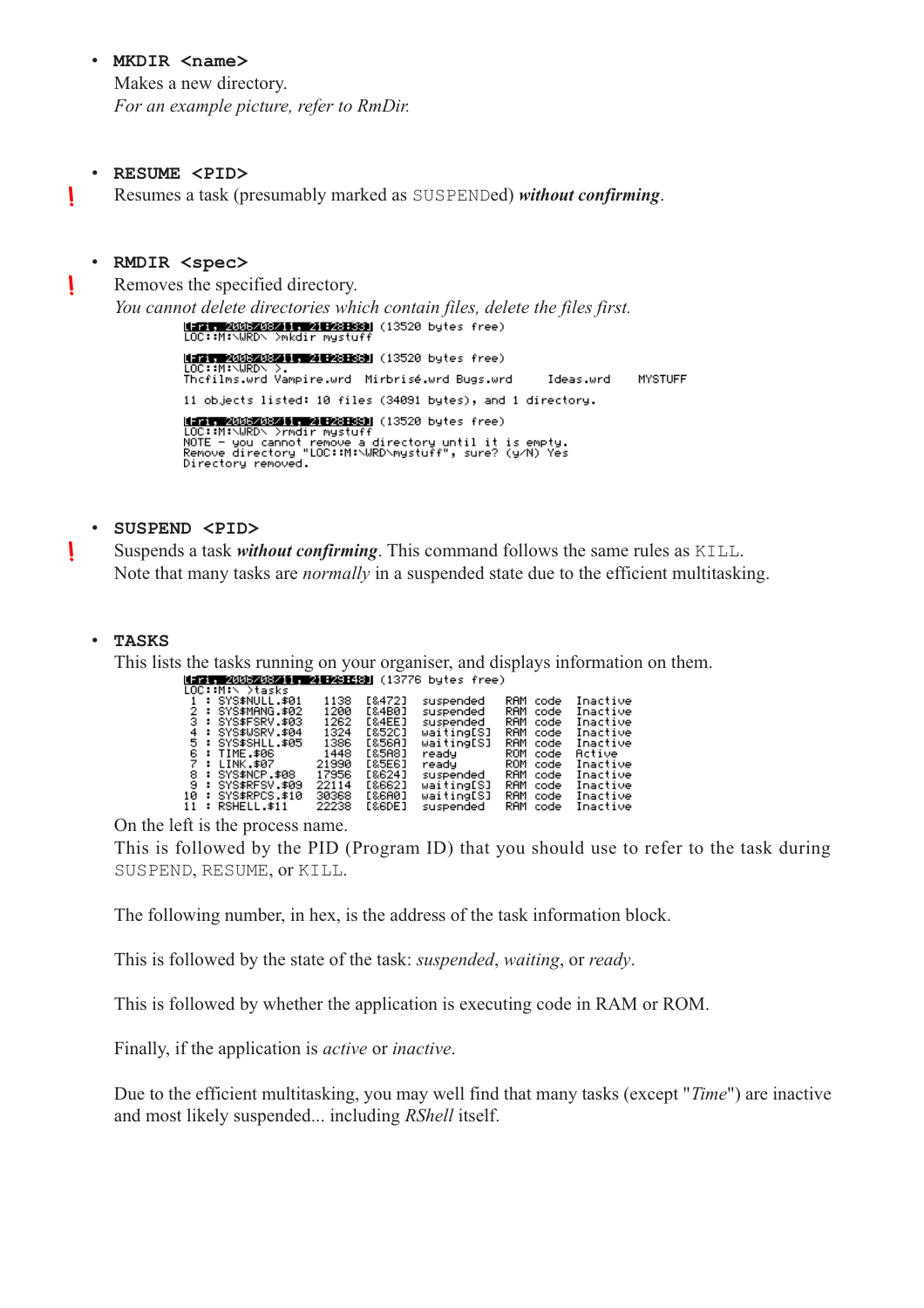#### • **MKDIR <name>**

Makes a new directory. *For an example picture, refer to RmDir.*

#### • **RESUME <PID>**

**!**

**!**

**!**

Resumes a task (presumably marked as SUSPENDed) *without confirming*.

#### • **RMDIR <spec>**

Removes the specified directory.

*You cannot delete directories which contain files, delete the files first.*<br>**LOC::M:\WRD\** >mkdir mystuff (13520 bytes free) [FFIT 2006208211, 21 F28 E89] (13520 bytes free) Thefilms.wrd Vampire.wrd Mirbrisé.wrd Bugs.wrd Ideas.wrd **MYSTUFF** 11 objects listed: 10 files (34091 bytes), and 1 directory. Mary, 2001-2002: 11 2012: 1891<br>LOC::M:\WRD\ >rmdir mystuff<br>NOTE – you cannot remove a directory until it is empty.<br>Remove directory "LOC::M:\WRD\mystuff", sure? (y/N) Yes<br>Directory removed.

#### • **SUSPEND <PID>**

Suspends a task *without confirming*. This command follows the same rules as KILL. Note that many tasks are *normally* in a suspended state due to the efficient multitasking.

#### • **TASKS**

This lists the tasks running on your organiser, and displays information on them.

| [Fri, 2006/08/11, 21:23:48] (13776 bytes free) |  |  |  |
|------------------------------------------------|--|--|--|
| LOC::M:\ >tasks                                |  |  |  |

| 1 : SYS\$NULL.\$01  | 1138  | [8472] | suspended  | RAM<br>code | Inactive |
|---------------------|-------|--------|------------|-------------|----------|
| 2 : SYS\$MANG.\$02  | 1200  | E&4B01 | suspended  | RAM code    | Inactive |
| 3 : SYS\$FSRV.\$03  | 1262  | [&4EE] | suspended  | RAM code    | Inactive |
| 4 : SYS\$WSRV.\$04  | 1324  | E&52CJ | waiting[S] | RAM code    | Inactive |
| 5 : SYS\$SHLL.\$05  | 1386  | E&56A1 | waiting[S] | RAM code    | Inactive |
| 6 : TIME.\$06       | 1448  | [&5A8] | ready      | ROM code    | Active   |
| 7 : LINK.\$07       | 21990 | [85E6] | ready and  | ROM code    | Inactive |
| 8 : SYS\$NCP.\$08   | 17956 | [8624] | suspended  | RAM code    | Inactive |
| 9 : SYS\$RFSV.\$09  | 22114 | [8662] | waiting[S] | RAM code    | Inactive |
| 10 : SYS\$RPCS.\$10 | 30368 | [86A0] | waiting[S] | RAM code    | Inactive |
| 11 : RSHELL.\$11    | 22238 | [&6DE] | suspended  | RAM code    | Inactive |

On the left is the process name.

This is followed by the PID (Program ID) that you should use to refer to the task during SUSPEND, RESUME, or KILL.

The following number, in hex, is the address of the task information block.

This is followed by the state of the task: *suspended*, *waiting*, or *ready*.

This is followed by whether the application is executing code in RAM or ROM.

Finally, if the application is *active* or *inactive*.

Due to the efficient multitasking, you may well find that many tasks (except "*Time*") are inactive and most likely suspended... including *RShell* itself.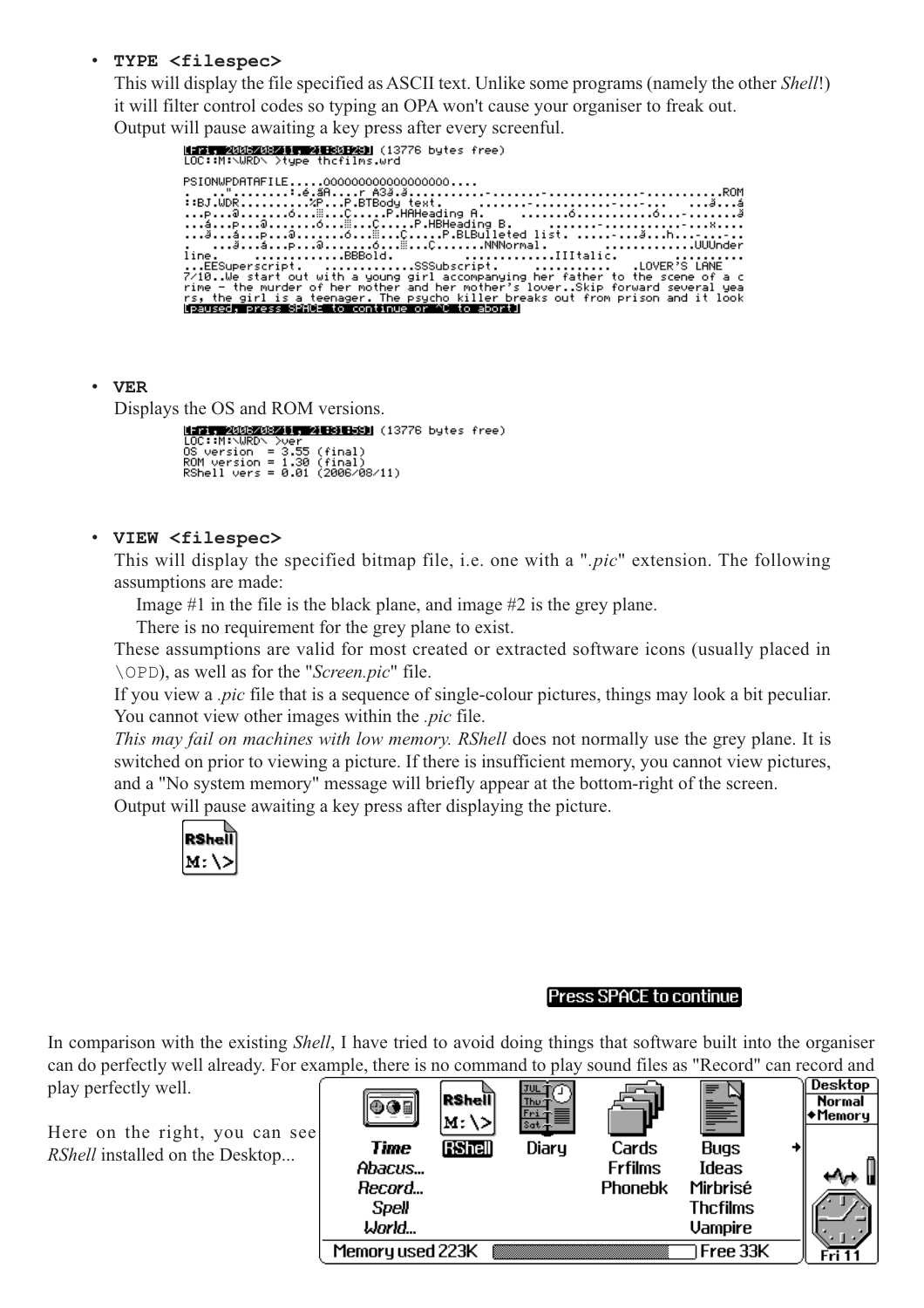#### • **TYPE <filespec>**

This will display the file specified as ASCII text. Unlike some programs (namely the other *Shell*!) it will filter control codes so typing an OPA won't cause your organiser to freak out. Output will pause awaiting a key press after every screenful.

| LOC::M:\WRD\ >type thofilms.wrd                  |  |  |                                                                                                                                                                                                                                   |  |
|--------------------------------------------------|--|--|-----------------------------------------------------------------------------------------------------------------------------------------------------------------------------------------------------------------------------------|--|
| PSIONWPDATAFILE0000000000000000000               |  |  |                                                                                                                                                                                                                                   |  |
|                                                  |  |  |                                                                                                                                                                                                                                   |  |
|                                                  |  |  | line. BBBold. IIItalic.                                                                                                                                                                                                           |  |
|                                                  |  |  | EESuperscript.    SSSubscript.        .LOVER'S LANE<br>$7\angle 10$ .We start out with a young girl accompanying her father to the scene of a c<br>rime – the murder of her mother and her mother's loverSkip forward several yea |  |
| [paused, press SPACE to continue or ^C to abort] |  |  | rs, the girl is a teenager. The psycho killer breaks out from prison and it look.                                                                                                                                                 |  |
|                                                  |  |  |                                                                                                                                                                                                                                   |  |

#### • **VER**

Displays the OS and ROM versions.

MERIT 200320325 WARSERSH (13776 bytes free)<br>LOC::M:\WRD\ >ver LOC::Mi\URD\ >ver<br>OS version = 3.55 (final)<br>RSM version = 1.30 (final)<br>RShell vers = 0.01 (2006/08/11)

#### • **VIEW <filespec>**

This will display the specified bitmap file, i.e. one with a "*.pic*" extension. The following assumptions are made:

Image #1 in the file is the black plane, and image #2 is the grey plane.

There is no requirement for the grey plane to exist.

These assumptions are valid for most created or extracted software icons (usually placed in \OPD), as well as for the "*Screen.pic*" file.

If you view a *.pic* file that is a sequence of single-colour pictures, things may look a bit peculiar. You cannot view other images within the *.pic* file.

*This may fail on machines with low memory. RShell* does not normally use the grey plane. It is switched on prior to viewing a picture. If there is insufficient memory, you cannot view pictures, and a "No system memory" message will briefly appear at the bottom-right of the screen.

Output will pause awaiting a key press after displaying the picture.



#### **Press SPACE to continue**

In comparison with the existing *Shell*, I have tried to avoid doing things that software built into the organiser can do perfectly well already. For example, there is no command to play sound files as "Record" can record and play perfectly well.

Here on the right, you can see *RShell* installed on the Desktop...